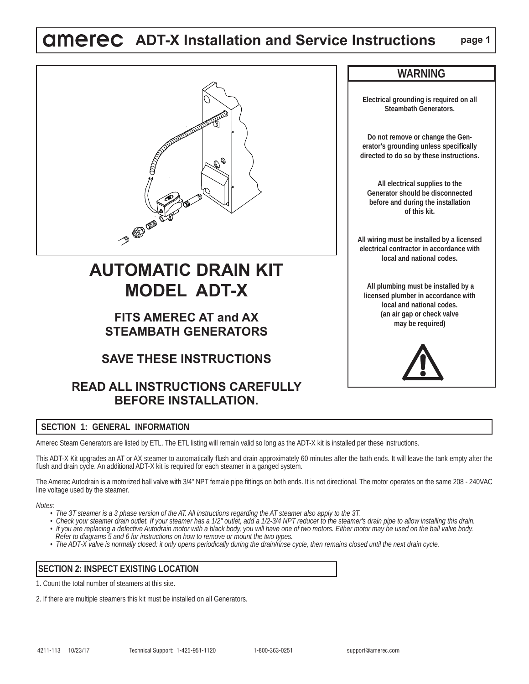# **ADT-X Installation and Service Instructions page 1**

**Electrical grounding is required on all Steambath Generators.**

**WARNING**

**Do not remove or change the Generator's grounding unless specifi cally directed to do so by these instructions.**

**All electrical supplies to the Generator should be disconnected before and during the installation of this kit.**

**All wiring must be installed by a licensed electrical contractor in accordance with local and national codes.**

 **All plumbing must be installed by a licensed plumber in accordance with local and national codes. (an air gap or check valve may be required)**



# **AUTOMATIC DRAIN KIT MODEL ADT-X**

# **FITS AMEREC AT and AX STEAMBATH GENERATORS**

# **SAVE THESE INSTRUCTIONS**

# **READ ALL INSTRUCTIONS CAREFULLY BEFORE INSTALLATION.**

# **SECTION 1: GENERAL INFORMATION**

Amerec Steam Generators are listed by ETL. The ETL listing will remain valid so long as the ADT-X kit is installed per these instructions.

This ADT-X Kit upgrades an AT or AX steamer to automatically flush and drain approximately 60 minutes after the bath ends. It will leave the tank empty after the fl ush and drain cycle. An additional ADT-X kit is required for each steamer in a ganged system.

The Amerec Autodrain is a motorized ball valve with 3/4" NPT female pipe fittings on both ends. It is not directional. The motor operates on the same 208 - 240VAC line voltage used by the steamer.

*Notes:* 

- *The 3T steamer is a 3 phase version of the AT. All instructions regarding the AT steamer also apply to the 3T.*
- *Check your steamer drain outlet. If your steamer has a 1/2" outlet, add a 1/2-3/4 NPT reducer to the steamer's drain pipe to allow installing this drain. • If you are replacing a defective Autodrain motor with a black body, you will have one of two motors. Either motor may be used on the ball valve body. Refer to diagrams 5 and 6 for instructions on how to remove or mount the two types.*
- *The ADT-X valve is normally closed: it only opens periodically during the drain/rinse cycle, then remains closed until the next drain cycle.*

## **SECTION 2: INSPECT EXISTING LOCATION**

1. Count the total number of steamers at this site.

2. If there are multiple steamers this kit must be installed on all Generators.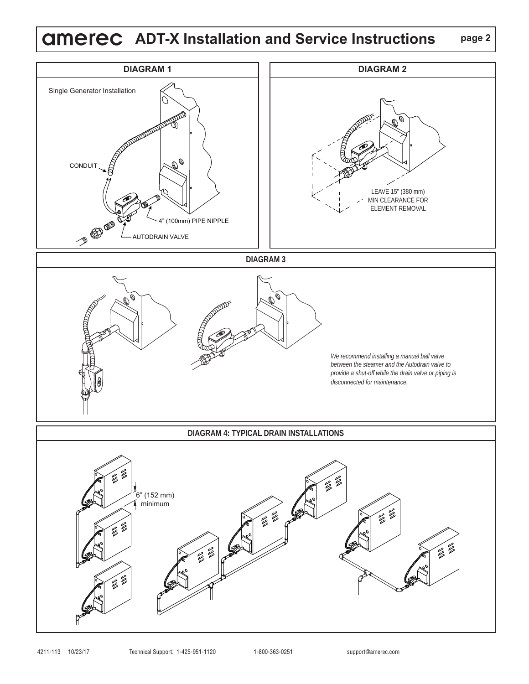# **ADT-X Installation and Service Instructions**



**page 2**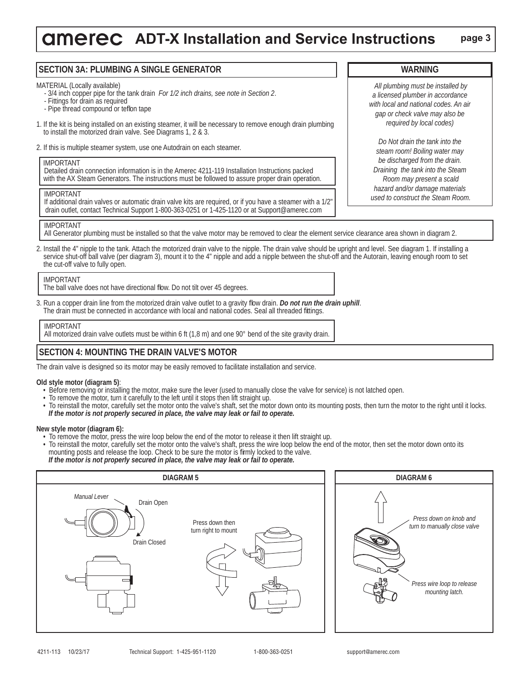# **ADT-X Installation and Service Instructions** page 3

### **SECTION 3A: PLUMBING A SINGLE GENERATOR**

MATERIAL (Locally available)

- 3/4 inch copper pipe for the tank drain *For 1/2 inch drains, see note in Section 2*.
- Fittings for drain as required
- Pipe thread compound or teflon tape
- 1. If the kit is being installed on an existing steamer, it will be necessary to remove enough drain plumbing to install the motorized drain valve. See Diagrams 1, 2 & 3.
- 2. If this is multiple steamer system, use one Autodrain on each steamer.

#### IMPORTANT

 Detailed drain connection information is in the Amerec 4211-119 Installation Instructions packed with the AX Steam Generators. The instructions must be followed to assure proper drain operation.

#### IMPORTANT

 If additional drain valves or automatic drain valve kits are required, or if you have a steamer with a 1/2" drain outlet, contact Technical Support 1-800-363-0251 or 1-425-1120 or at Support@amerec.com

### IMPORTANT

All Generator plumbing must be installed so that the valve motor may be removed to clear the element service clearance area shown in diagram 2.

2. Install the 4" nipple to the tank. Attach the motorized drain valve to the nipple. The drain valve should be upright and level. See diagram 1. If installing a service shut-off ball valve (per diagram 3), mount it to the 4" nipple and add a nipple between the shut-off and the Autorain, leaving enough room to set the cut-off valve to fully open.

#### IMPORTANT

The ball valve does not have directional flow. Do not tilt over 45 degrees.

3. Run a copper drain line from the motorized drain valve outlet to a gravity flow drain. *Do not run the drain uphill*. The drain must be connected in accordance with local and national codes. Seal all threaded fittings.

### IMPORTANT

All motorized drain valve outlets must be within 6 ft (1,8 m) and one 90° bend of the site gravity drain.

### **SECTION 4: MOUNTING THE DRAIN VALVE'S MOTOR**

The drain valve is designed so its motor may be easily removed to facilitate installation and service.

#### **Old style motor (diagram 5)**:

- Before removing or installing the motor, make sure the lever (used to manually close the valve for service) is not latched open.
- To remove the motor, turn it carefully to the left until it stops then lift straight up.
- To reinstall the motor, carefully set the motor onto the valve's shaft, set the motor down onto its mounting posts, then turn the motor to the right until it locks. *If the motor is not properly secured in place, the valve may leak or fail to operate.*

### **New style motor (diagram 6):**

- To remove the motor, press the wire loop below the end of the motor to release it then lift straight up.
- To reinstall the motor, carefully set the motor onto the valve's shaft, press the wire loop below the end of the motor, then set the motor down onto its mounting posts and release the loop. Check to be sure the motor is firmly locked to the valve.
- *If the motor is not properly secured in place, the valve may leak or fail to operate.*





*All plumbing must be installed by a licensed plumber in accordance* 

**WARNING**

*Draining the tank into the Steam Room may present a scald hazard and/or damage materials used to construct the Steam Room.*

*Press wire loop to release mounting latch.*

*Press down on knob and turn to manually close valve*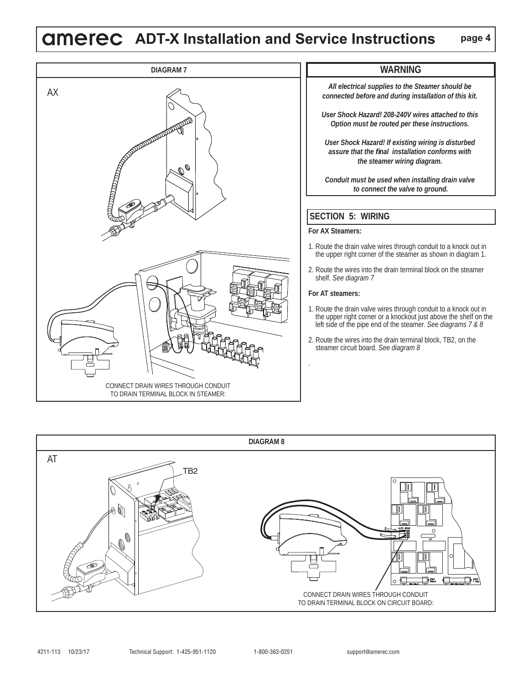# **ADT-X Installation and Service Instructions**



### **WARNING**

*All electrical supplies to the Steamer should be connected before and during installation of this kit.* 

*User Shock Hazard! 208-240V wires attached to this Option must be routed per these instructions.*

*User Shock Hazard! If existing wiring is disturbed assure that the fi nal installation conforms with the steamer wiring diagram.*

*Conduit must be used when installing drain valve to connect the valve to ground.*

## **SECTION 5: WIRING**

#### **For AX Steamers:**

- 1. Route the drain valve wires through conduit to a knock out in the upper right corner of the steamer as shown in diagram 1.
- 2. Route the wires into the drain terminal block on the steamer shelf. *See diagram 7*

#### **For AT steamers:**

- 1. Route the drain valve wires through conduit to a knock out in the upper right corner or a knockout just above the shelf on the left side of the pipe end of the steamer. *See diagrams 7 & 8*
- 2. Route the wires into the drain terminal block, TB2, on the steamer circuit board. *See diagram 8*